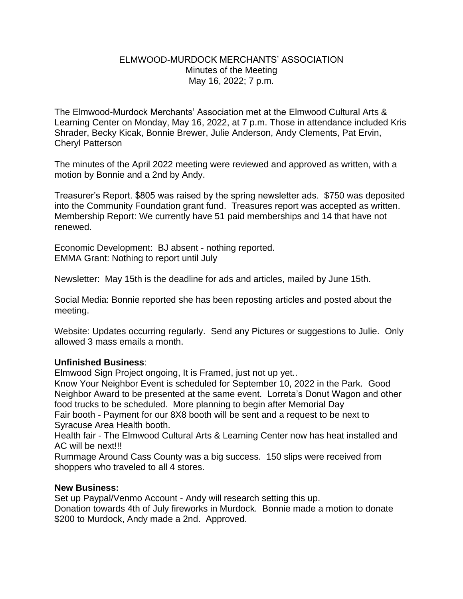## ELMWOOD-MURDOCK MERCHANTS' ASSOCIATION Minutes of the Meeting May 16, 2022; 7 p.m.

The Elmwood-Murdock Merchants' Association met at the Elmwood Cultural Arts & Learning Center on Monday, May 16, 2022, at 7 p.m. Those in attendance included Kris Shrader, Becky Kicak, Bonnie Brewer, Julie Anderson, Andy Clements, Pat Ervin, Cheryl Patterson

The minutes of the April 2022 meeting were reviewed and approved as written, with a motion by Bonnie and a 2nd by Andy.

Treasurer's Report. \$805 was raised by the spring newsletter ads. \$750 was deposited into the Community Foundation grant fund. Treasures report was accepted as written. Membership Report: We currently have 51 paid memberships and 14 that have not renewed.

Economic Development: BJ absent - nothing reported. EMMA Grant: Nothing to report until July

Newsletter: May 15th is the deadline for ads and articles, mailed by June 15th.

Social Media: Bonnie reported she has been reposting articles and posted about the meeting.

Website: Updates occurring regularly. Send any Pictures or suggestions to Julie. Only allowed 3 mass emails a month.

## **Unfinished Business**:

Elmwood Sign Project ongoing, It is Framed, just not up yet..

Know Your Neighbor Event is scheduled for September 10, 2022 in the Park. Good Neighbor Award to be presented at the same event. Lorreta's Donut Wagon and other food trucks to be scheduled. More planning to begin after Memorial Day Fair booth - Payment for our 8X8 booth will be sent and a request to be next to Syracuse Area Health booth.

Health fair - The Elmwood Cultural Arts & Learning Center now has heat installed and AC will be next!!!

Rummage Around Cass County was a big success. 150 slips were received from shoppers who traveled to all 4 stores.

## **New Business:**

Set up Paypal/Venmo Account - Andy will research setting this up. Donation towards 4th of July fireworks in Murdock. Bonnie made a motion to donate \$200 to Murdock, Andy made a 2nd. Approved.